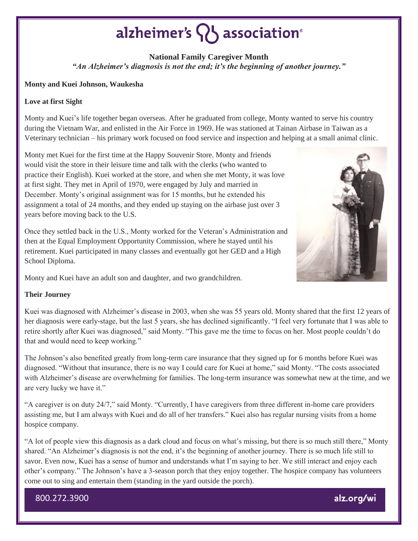# alzheimer's  $\{ \}$  association<sup>®</sup>

**National Family Caregiver Month** *"An Alzheimer's diagnosis is not the end; it's the beginning of another journey."*

#### **Monty and Kuei Johnson, Waukesha**

### **Love at first Sight**

Monty and Kuei's life together began overseas. After he graduated from college, Monty wanted to serve his country during the Vietnam War, and enlisted in the Air Force in 1969. He was stationed at Tainan Airbase in Taiwan as a Veterinary technician – his primary work focused on food service and inspection and helping at a small animal clinic.

Monty met Kuei for the first time at the Happy Souvenir Store. Monty and friends would visit the store in their leisure time and talk with the clerks (who wanted to practice their English). Kuei worked at the store, and when she met Monty, it was love at first sight. They met in April of 1970, were engaged by July and married in December. Monty's original assignment was for 15 months, but he extended his assignment a total of 24 months, and they ended up staying on the airbase just over 3 years before moving back to the U.S.

Once they settled back in the U.S., Monty worked for the Veteran's Administration and then at the Equal Employment Opportunity Commission, where he stayed until his retirement. Kuei participated in many classes and eventually got her GED and a High School Diploma.



Monty and Kuei have an adult son and daughter, and two grandchildren.

### **Their Journey**

Kuei was diagnosed with Alzheimer's disease in 2003, when she was 55 years old. Monty shared that the first 12 years of her diagnosis were early-stage, but the last 5 years, she has declined significantly. "I feel very fortunate that I was able to retire shortly after Kuei was diagnosed," said Monty. "This gave me the time to focus on her. Most people couldn't do that and would need to keep working."

The Johnson's also benefited greatly from long-term care insurance that they signed up for 6 months before Kuei was diagnosed. "Without that insurance, there is no way I could care for Kuei at home," said Monty. "The costs associated with Alzheimer's disease are overwhelming for families. The long-term insurance was somewhat new at the time, and we are very lucky we have it."

"A caregiver is on duty 24/7," said Monty. "Currently, I have caregivers from three different in-home care providers assisting me, but I am always with Kuei and do all of her transfers." Kuei also has regular nursing visits from a home hospice company.

"A lot of people view this diagnosis as a dark cloud and focus on what's missing, but there is so much still there," Monty shared. "An Alzheimer's diagnosis is not the end, it's the beginning of another journey. There is so much life still to savor. Even now, Kuei has a sense of humor and understands what I'm saying to her. We still interact and enjoy each other's company." The Johnson's have a 3-season porch that they enjoy together. The hospice company has volunteers come out to sing and entertain them (standing in the yard outside the porch).

800.272.3900